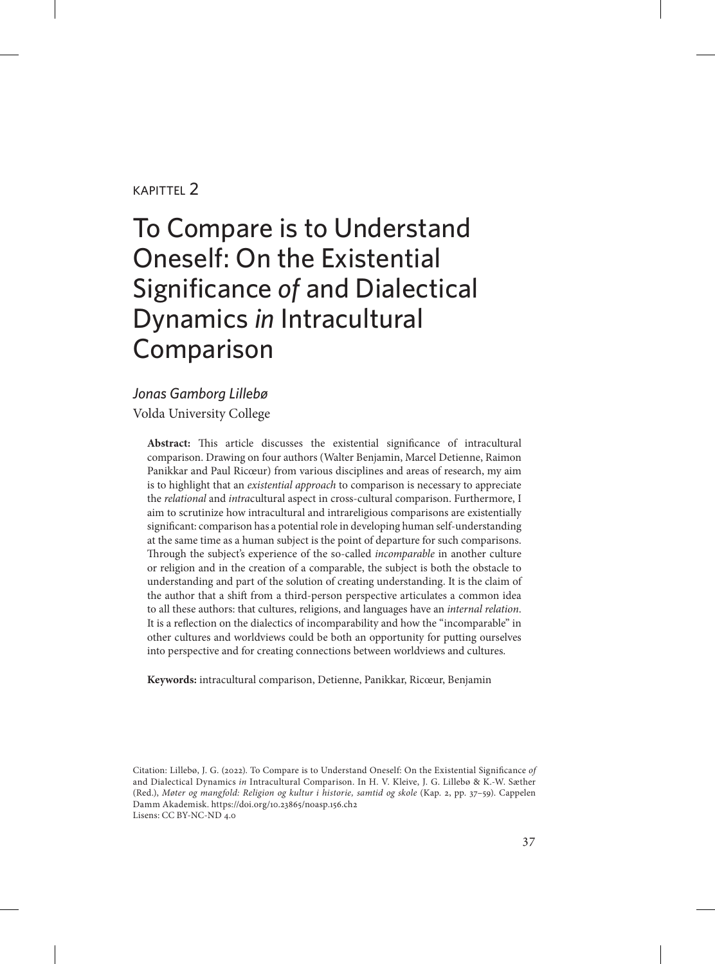#### kapittel 2

# To Compare is to Understand Oneself: On the Existential Significance *of* and Dialectical Dynamics *in* Intracultural Comparison

#### *Jonas Gamborg Lillebø* Volda University College

**Abstract:** This article discusses the existential significance of intracultural comparison. Drawing on four authors (Walter Benjamin, Marcel Detienne, Raimon Panikkar and Paul Ricœur) from various disciplines and areas of research, my aim is to highlight that an *existential approach* to comparison is necessary to appreciate the *relational* and *intra*cultural aspect in cross-cultural comparison. Furthermore, I aim to scrutinize how intracultural and intrareligious comparisons are existentially significant: comparison has a potential role in developing human self-understanding at the same time as a human subject is the point of departure for such comparisons. Through the subject's experience of the so-called *incomparable* in another culture or religion and in the creation of a comparable, the subject is both the obstacle to understanding and part of the solution of creating understanding. It is the claim of the author that a shift from a third-person perspective articulates a common idea to all these authors: that cultures, religions, and languages have an *internal relation*. It is a reflection on the dialectics of incomparability and how the "incomparable" in other cultures and worldviews could be both an opportunity for putting ourselves into perspective and for creating connections between worldviews and cultures.

**Keywords:** intracultural comparison, Detienne, Panikkar, Ricœur, Benjamin

Citation: Lillebø, J. G. (2022). To Compare is to Understand Oneself: On the Existential Significance *of* and Dialectical Dynamics *in* Intracultural Comparison. In H. V. Kleive, J. G. Lillebø & K.-W. Sæther (Red.), *Møter og mangfold: Religion og kultur i historie, samtid og skole* (Kap. 2, pp. 37–59). Cappelen Damm Akademisk. https://doi.org/10.23865/noasp.156.ch2 Lisens: CC BY-NC-ND 4.0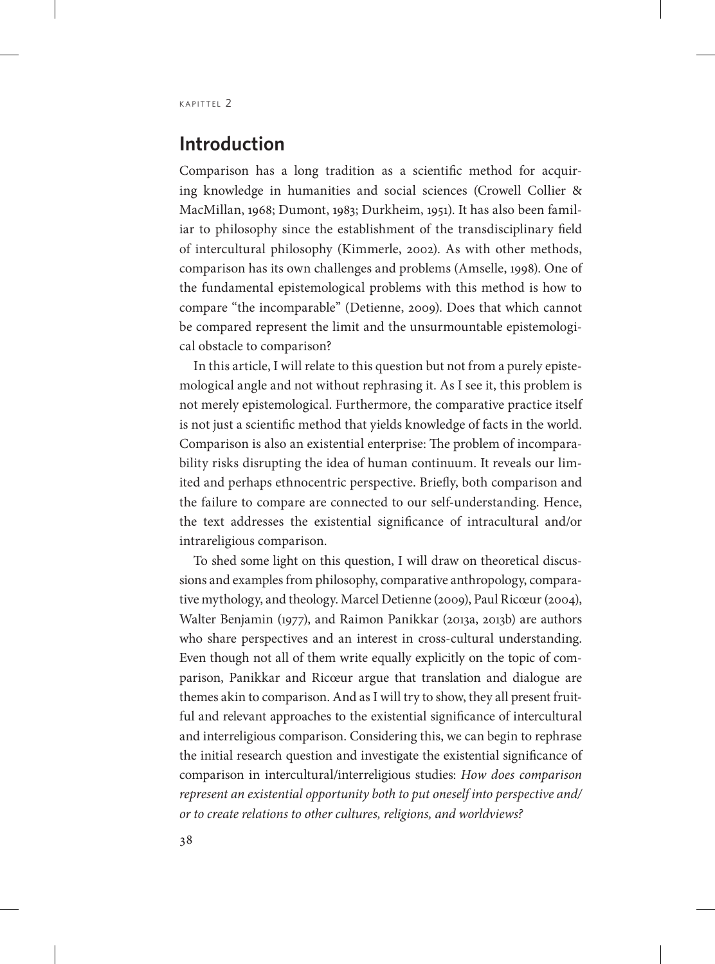## **Introduction**

Comparison has a long tradition as a scientific method for acquiring knowledge in humanities and social sciences (Crowell Collier & MacMillan, 1968; Dumont, 1983; Durkheim, 1951). It has also been familiar to philosophy since the establishment of the transdisciplinary field of intercultural philosophy (Kimmerle, 2002). As with other methods, comparison has its own challenges and problems (Amselle, 1998). One of the fundamental epistemological problems with this method is how to compare "the incomparable" (Detienne, 2009). Does that which cannot be compared represent the limit and the unsurmountable epistemological obstacle to comparison?

In this article, I will relate to this question but not from a purely epistemological angle and not without rephrasing it. As I see it, this problem is not merely epistemological. Furthermore, the comparative practice itself is not just a scientific method that yields knowledge of facts in the world. Comparison is also an existential enterprise: The problem of incomparability risks disrupting the idea of human continuum. It reveals our limited and perhaps ethnocentric perspective. Briefly, both comparison and the failure to compare are connected to our self-understanding. Hence, the text addresses the existential significance of intracultural and/or intrareligious comparison.

To shed some light on this question, I will draw on theoretical discussions and examples from philosophy, comparative anthropology, comparative mythology, and theology. Marcel Detienne (2009), Paul Ricœur (2004), Walter Benjamin (1977), and Raimon Panikkar (2013a, 2013b) are authors who share perspectives and an interest in cross-cultural understanding. Even though not all of them write equally explicitly on the topic of comparison, Panikkar and Ricœur argue that translation and dialogue are themes akin to comparison. And as I will try to show, they all present fruitful and relevant approaches to the existential significance of intercultural and interreligious comparison. Considering this, we can begin to rephrase the initial research question and investigate the existential significance of comparison in intercultural/interreligious studies: *How does comparison represent an existential opportunity both to put oneself into perspective and/ or to create relations to other cultures, religions, and worldviews?*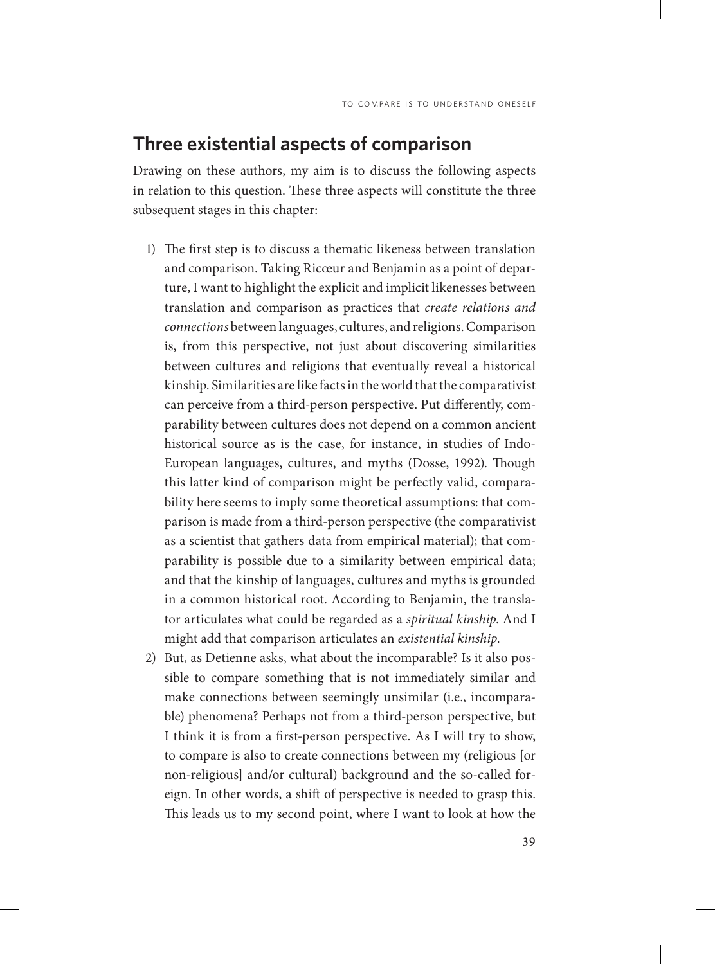## **Three existential aspects of comparison**

Drawing on these authors, my aim is to discuss the following aspects in relation to this question. These three aspects will constitute the three subsequent stages in this chapter:

- 1) The first step is to discuss a thematic likeness between translation and comparison. Taking Ricœur and Benjamin as a point of departure, I want to highlight the explicit and implicit likenesses between translation and comparison as practices that *create relations and connections* between languages, cultures, and religions. Comparison is, from this perspective, not just about discovering similarities between cultures and religions that eventually reveal a historical kinship. Similarities are like facts in the world that the comparativist can perceive from a third-person perspective. Put differently, comparability between cultures does not depend on a common ancient historical source as is the case, for instance, in studies of Indo-European languages, cultures, and myths (Dosse, 1992). Though this latter kind of comparison might be perfectly valid, comparability here seems to imply some theoretical assumptions: that comparison is made from a third-person perspective (the comparativist as a scientist that gathers data from empirical material); that comparability is possible due to a similarity between empirical data; and that the kinship of languages, cultures and myths is grounded in a common historical root. According to Benjamin, the translator articulates what could be regarded as a *spiritual kinship*. And I might add that comparison articulates an *existential kinship*.
- 2) But, as Detienne asks, what about the incomparable? Is it also possible to compare something that is not immediately similar and make connections between seemingly unsimilar (i.e., incomparable) phenomena? Perhaps not from a third-person perspective, but I think it is from a first-person perspective. As I will try to show, to compare is also to create connections between my (religious [or non-religious] and/or cultural) background and the so-called foreign. In other words, a shift of perspective is needed to grasp this. This leads us to my second point, where I want to look at how the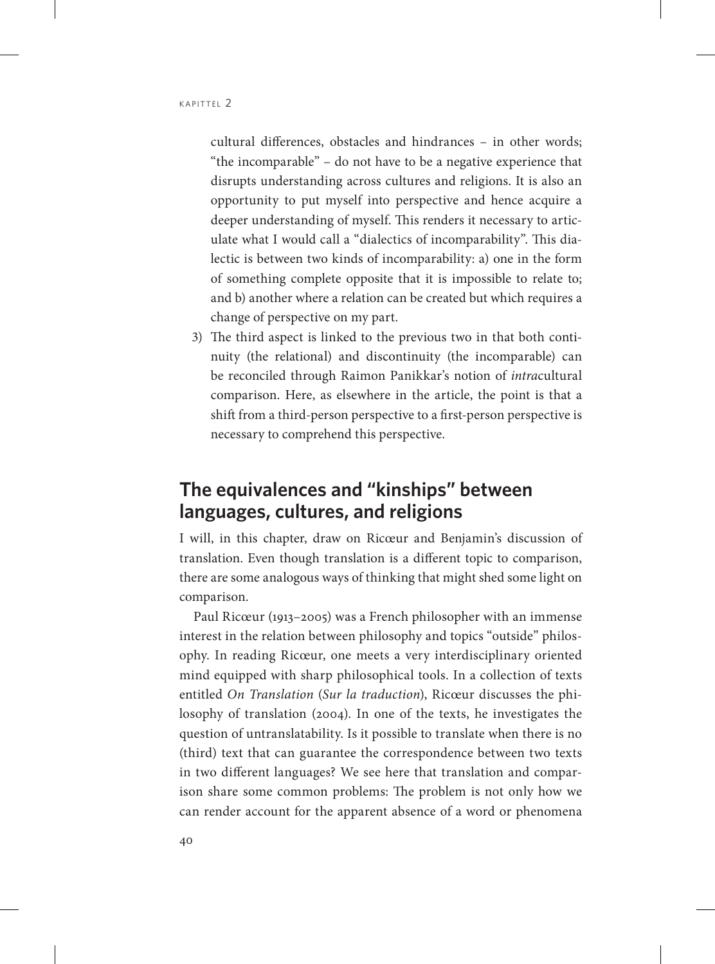cultural differences, obstacles and hindrances – in other words; "the incomparable" – do not have to be a negative experience that disrupts understanding across cultures and religions. It is also an opportunity to put myself into perspective and hence acquire a deeper understanding of myself. This renders it necessary to articulate what I would call a "dialectics of incomparability". This dialectic is between two kinds of incomparability: a) one in the form of something complete opposite that it is impossible to relate to; and b) another where a relation can be created but which requires a change of perspective on my part.

3) The third aspect is linked to the previous two in that both continuity (the relational) and discontinuity (the incomparable) can be reconciled through Raimon Panikkar's notion of *intra*cultural comparison. Here, as elsewhere in the article, the point is that a shift from a third-person perspective to a first-person perspective is necessary to comprehend this perspective.

# **The equivalences and "kinships" between languages, cultures, and religions**

I will, in this chapter, draw on Ricœur and Benjamin's discussion of translation. Even though translation is a different topic to comparison, there are some analogous ways of thinking that might shed some light on comparison.

Paul Ricœur (1913–2005) was a French philosopher with an immense interest in the relation between philosophy and topics "outside" philosophy. In reading Ricœur, one meets a very interdisciplinary oriented mind equipped with sharp philosophical tools. In a collection of texts entitled *On Translation* (*Sur la traduction*), Ricœur discusses the philosophy of translation (2004). In one of the texts, he investigates the question of untranslatability. Is it possible to translate when there is no (third) text that can guarantee the correspondence between two texts in two different languages? We see here that translation and comparison share some common problems: The problem is not only how we can render account for the apparent absence of a word or phenomena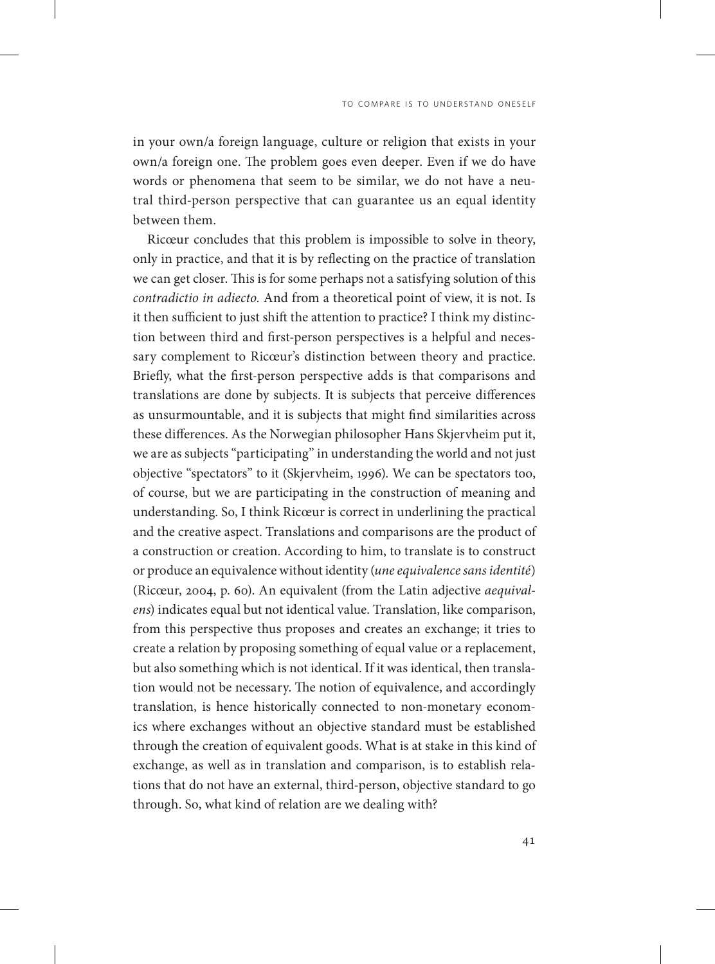in your own/a foreign language, culture or religion that exists in your own/a foreign one. The problem goes even deeper. Even if we do have words or phenomena that seem to be similar, we do not have a neutral third-person perspective that can guarantee us an equal identity between them.

Ricœur concludes that this problem is impossible to solve in theory, only in practice, and that it is by reflecting on the practice of translation we can get closer. This is for some perhaps not a satisfying solution of this *contradictio in adiecto.* And from a theoretical point of view, it is not. Is it then sufficient to just shift the attention to practice? I think my distinction between third and first-person perspectives is a helpful and necessary complement to Ricœur's distinction between theory and practice. Briefly, what the first-person perspective adds is that comparisons and translations are done by subjects. It is subjects that perceive differences as unsurmountable, and it is subjects that might find similarities across these differences. As the Norwegian philosopher Hans Skjervheim put it, we are as subjects "participating" in understanding the world and not just objective "spectators" to it (Skjervheim, 1996). We can be spectators too, of course, but we are participating in the construction of meaning and understanding. So, I think Ricœur is correct in underlining the practical and the creative aspect. Translations and comparisons are the product of a construction or creation. According to him, to translate is to construct or produce an equivalence without identity (*une equivalence sans identité*) (Ricœur, 2004, p. 60). An equivalent (from the Latin adjective *aequivalens*) indicates equal but not identical value. Translation, like comparison, from this perspective thus proposes and creates an exchange; it tries to create a relation by proposing something of equal value or a replacement, but also something which is not identical. If it was identical, then translation would not be necessary. The notion of equivalence, and accordingly translation, is hence historically connected to non-monetary economics where exchanges without an objective standard must be established through the creation of equivalent goods. What is at stake in this kind of exchange, as well as in translation and comparison, is to establish relations that do not have an external, third-person, objective standard to go through. So, what kind of relation are we dealing with?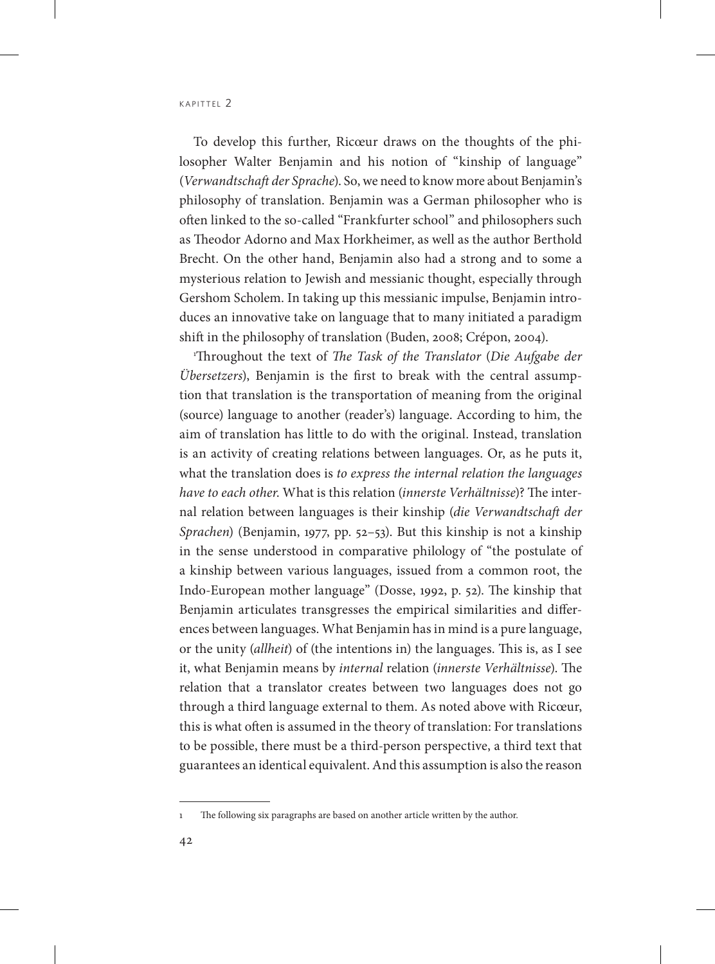To develop this further, Ricœur draws on the thoughts of the philosopher Walter Benjamin and his notion of "kinship of language" (*Verwandtschaft der Sprache*). So, we need to know more about Benjamin's philosophy of translation. Benjamin was a German philosopher who is often linked to the so-called "Frankfurter school" and philosophers such as Theodor Adorno and Max Horkheimer, as well as the author Berthold Brecht. On the other hand, Benjamin also had a strong and to some a mysterious relation to Jewish and messianic thought, especially through Gershom Scholem. In taking up this messianic impulse, Benjamin introduces an innovative take on language that to many initiated a paradigm shift in the philosophy of translation (Buden, 2008; Crépon, 2004).

1 Throughout the text of *The Task of the Translator* (*Die Aufgabe der Übersetzers*), Benjamin is the first to break with the central assumption that translation is the transportation of meaning from the original (source) language to another (reader's) language. According to him, the aim of translation has little to do with the original. Instead, translation is an activity of creating relations between languages. Or, as he puts it, what the translation does is *to express the internal relation the languages have to each other*. What is this relation (*innerste Verhältnisse*)? The internal relation between languages is their kinship (*die Verwandtschaft der Sprachen*) (Benjamin, 1977, pp. 52–53). But this kinship is not a kinship in the sense understood in comparative philology of "the postulate of a kinship between various languages, issued from a common root, the Indo-European mother language" (Dosse, 1992, p. 52). The kinship that Benjamin articulates transgresses the empirical similarities and differences between languages. What Benjamin has in mind is a pure language, or the unity (*allheit*) of (the intentions in) the languages. This is, as I see it, what Benjamin means by *internal* relation (*innerste Verhältnisse*). The relation that a translator creates between two languages does not go through a third language external to them. As noted above with Ricœur, this is what often is assumed in the theory of translation: For translations to be possible, there must be a third-person perspective, a third text that guarantees an identical equivalent. And this assumption is also the reason

<sup>1</sup> The following six paragraphs are based on another article written by the author.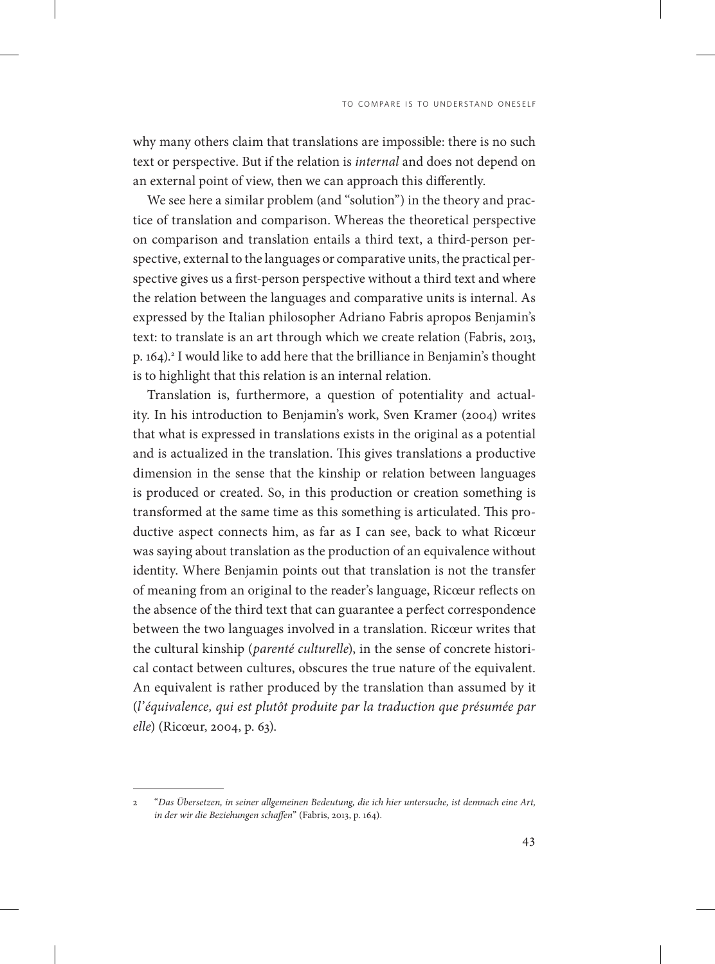why many others claim that translations are impossible: there is no such text or perspective. But if the relation is *internal* and does not depend on an external point of view, then we can approach this differently.

We see here a similar problem (and "solution") in the theory and practice of translation and comparison. Whereas the theoretical perspective on comparison and translation entails a third text, a third-person perspective, external to the languages or comparative units, the practical perspective gives us a first-person perspective without a third text and where the relation between the languages and comparative units is internal. As expressed by the Italian philosopher Adriano Fabris apropos Benjamin's text: to translate is an art through which we create relation (Fabris, 2013, p. 164).<sup>2</sup> I would like to add here that the brilliance in Benjamin's thought is to highlight that this relation is an internal relation.

Translation is, furthermore, a question of potentiality and actuality. In his introduction to Benjamin's work, Sven Kramer (2004) writes that what is expressed in translations exists in the original as a potential and is actualized in the translation. This gives translations a productive dimension in the sense that the kinship or relation between languages is produced or created. So, in this production or creation something is transformed at the same time as this something is articulated. This productive aspect connects him, as far as I can see, back to what Ricœur was saying about translation as the production of an equivalence without identity. Where Benjamin points out that translation is not the transfer of meaning from an original to the reader's language, Ricœur reflects on the absence of the third text that can guarantee a perfect correspondence between the two languages involved in a translation. Ricœur writes that the cultural kinship (*parenté culturelle*), in the sense of concrete historical contact between cultures, obscures the true nature of the equivalent. An equivalent is rather produced by the translation than assumed by it (*l'équivalence, qui est plutôt produite par la traduction que présumée par elle*) (Ricœur, 2004, p. 63).

<sup>2</sup> "*Das Übersetzen, in seiner allgemeinen Bedeutung, die ich hier untersuche, ist demnach eine Art, in der wir die Beziehungen schaffen*" (Fabris, 2013, p. 164).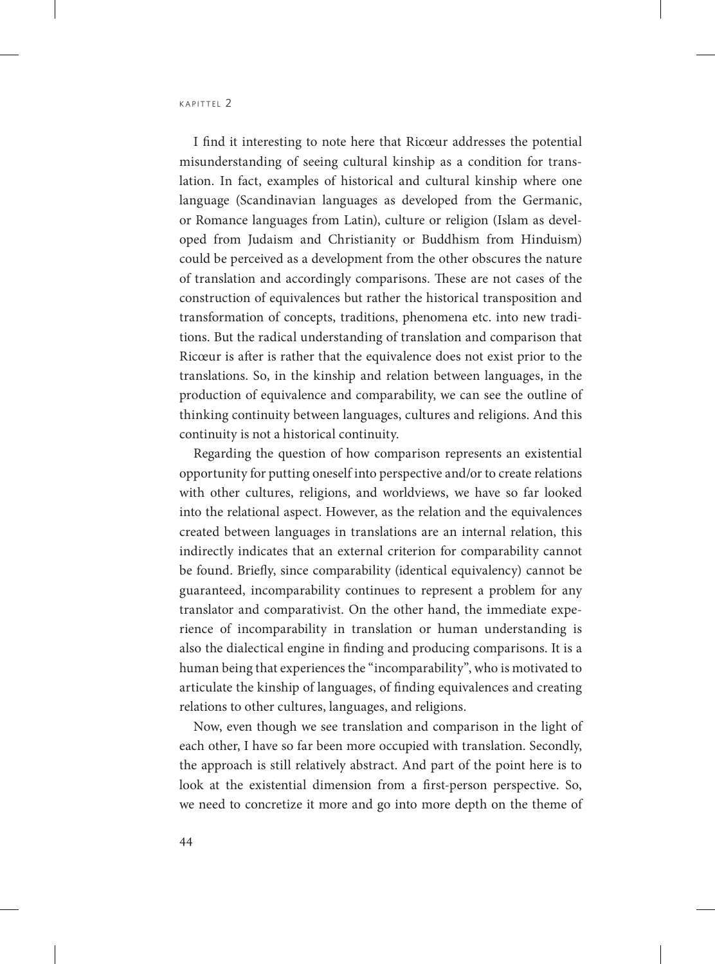I find it interesting to note here that Ricœur addresses the potential misunderstanding of seeing cultural kinship as a condition for translation. In fact, examples of historical and cultural kinship where one language (Scandinavian languages as developed from the Germanic, or Romance languages from Latin), culture or religion (Islam as developed from Judaism and Christianity or Buddhism from Hinduism) could be perceived as a development from the other obscures the nature of translation and accordingly comparisons. These are not cases of the construction of equivalences but rather the historical transposition and transformation of concepts, traditions, phenomena etc. into new traditions. But the radical understanding of translation and comparison that Ricœur is after is rather that the equivalence does not exist prior to the translations. So, in the kinship and relation between languages, in the production of equivalence and comparability, we can see the outline of thinking continuity between languages, cultures and religions. And this continuity is not a historical continuity.

Regarding the question of how comparison represents an existential opportunity for putting oneself into perspective and/or to create relations with other cultures, religions, and worldviews, we have so far looked into the relational aspect. However, as the relation and the equivalences created between languages in translations are an internal relation, this indirectly indicates that an external criterion for comparability cannot be found. Briefly, since comparability (identical equivalency) cannot be guaranteed, incomparability continues to represent a problem for any translator and comparativist. On the other hand, the immediate experience of incomparability in translation or human understanding is also the dialectical engine in finding and producing comparisons. It is a human being that experiences the "incomparability", who is motivated to articulate the kinship of languages, of finding equivalences and creating relations to other cultures, languages, and religions.

Now, even though we see translation and comparison in the light of each other, I have so far been more occupied with translation. Secondly, the approach is still relatively abstract. And part of the point here is to look at the existential dimension from a first-person perspective. So, we need to concretize it more and go into more depth on the theme of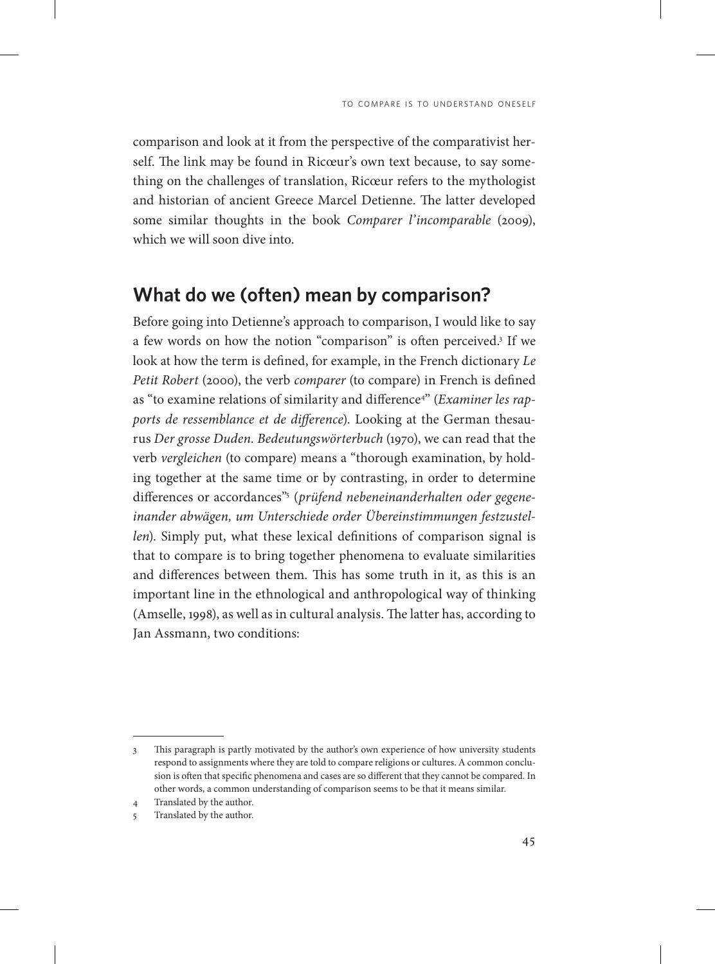comparison and look at it from the perspective of the comparativist herself. The link may be found in Ricœur's own text because, to say something on the challenges of translation, Ricœur refers to the mythologist and historian of ancient Greece Marcel Detienne. The latter developed some similar thoughts in the book *Comparer l'incomparable* (2009), which we will soon dive into.

### **What do we (often) mean by comparison?**

Before going into Detienne's approach to comparison, I would like to say a few words on how the notion "comparison" is often perceived.3 If we look at how the term is defined, for example, in the French dictionary *Le Petit Robert* (2000), the verb *comparer* (to compare) in French is defined as "to examine relations of similarity and difference<sup>4</sup>" (*Examiner les rapports de ressemblance et de difference*). Looking at the German thesaurus *Der grosse Duden. Bedeutungswörterbuch* (1970), we can read that the verb *vergleichen* (to compare) means a "thorough examination, by holding together at the same time or by contrasting, in order to determine differences or accordances"5 (*prüfend nebeneinanderhalten oder gegeneinander abwägen, um Unterschiede order Übereinstimmungen festzustellen*). Simply put, what these lexical definitions of comparison signal is that to compare is to bring together phenomena to evaluate similarities and differences between them. This has some truth in it, as this is an important line in the ethnological and anthropological way of thinking (Amselle, 1998), as well as in cultural analysis. The latter has, according to Jan Assmann, two conditions:

<sup>3</sup> This paragraph is partly motivated by the author's own experience of how university students respond to assignments where they are told to compare religions or cultures. A common conclusion is often that specific phenomena and cases are so different that they cannot be compared. In other words, a common understanding of comparison seems to be that it means similar.

<sup>4</sup> Translated by the author.

<sup>5</sup> Translated by the author.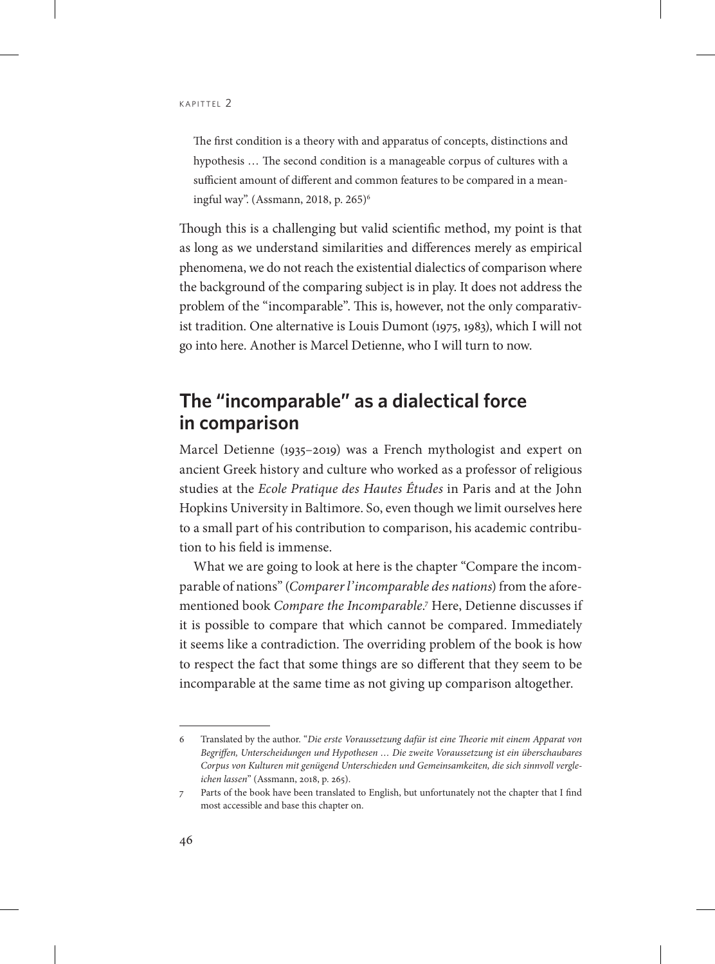The first condition is a theory with and apparatus of concepts, distinctions and hypothesis … The second condition is a manageable corpus of cultures with a sufficient amount of different and common features to be compared in a meaningful way". (Assmann, 2018, p. 265)6

Though this is a challenging but valid scientific method, my point is that as long as we understand similarities and differences merely as empirical phenomena, we do not reach the existential dialectics of comparison where the background of the comparing subject is in play. It does not address the problem of the "incomparable". This is, however, not the only comparativist tradition. One alternative is Louis Dumont (1975, 1983), which I will not go into here. Another is Marcel Detienne, who I will turn to now.

# **The "incomparable" as a dialectical force in comparison**

Marcel Detienne (1935–2019) was a French mythologist and expert on ancient Greek history and culture who worked as a professor of religious studies at the *Ecole Pratique des Hautes Études* in Paris and at the John Hopkins University in Baltimore. So, even though we limit ourselves here to a small part of his contribution to comparison, his academic contribution to his field is immense.

What we are going to look at here is the chapter "Compare the incomparable of nations" (*Comparer l'incomparable des nations*) from the aforementioned book *Compare the Incomparable.*<sup>7</sup> Here, Detienne discusses if it is possible to compare that which cannot be compared. Immediately it seems like a contradiction. The overriding problem of the book is how to respect the fact that some things are so different that they seem to be incomparable at the same time as not giving up comparison altogether.

<sup>6</sup> Translated by the author. "*Die erste Voraussetzung dafür ist eine Theorie mit einem Apparat von Begriffen, Unterscheidungen und Hypothesen … Die zweite Voraussetzung ist ein überschaubares Corpus von Kulturen mit genügend Unterschieden und Gemeinsamkeiten, die sich sinnvoll vergleichen lassen*" (Assmann, 2018, p. 265).

<sup>7</sup> Parts of the book have been translated to English, but unfortunately not the chapter that I find most accessible and base this chapter on.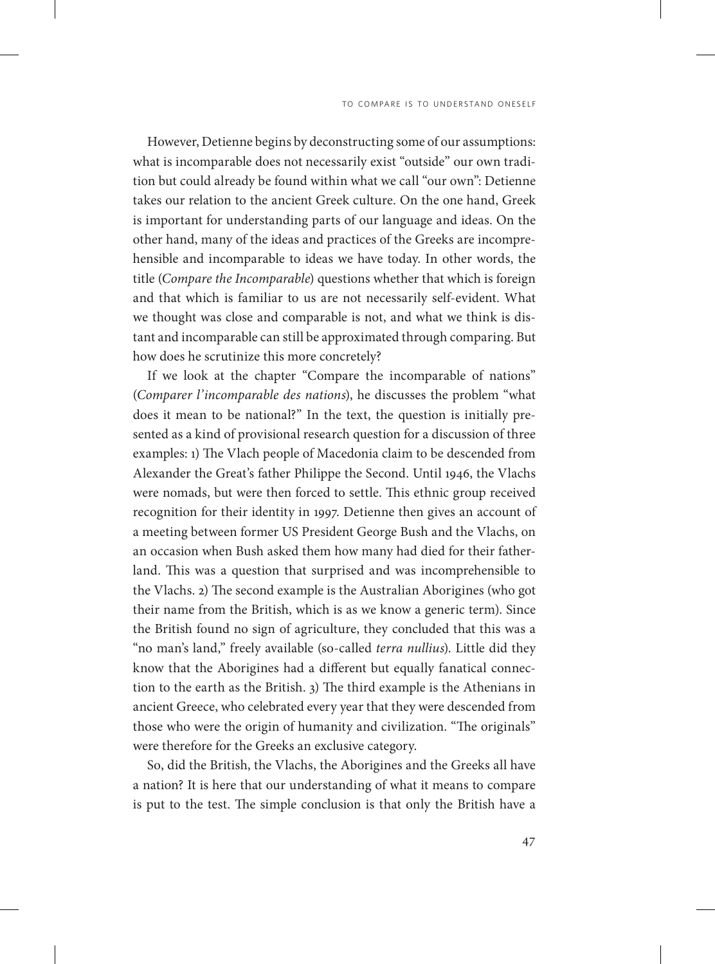However, Detienne begins by deconstructing some of our assumptions: what is incomparable does not necessarily exist "outside" our own tradition but could already be found within what we call "our own": Detienne takes our relation to the ancient Greek culture. On the one hand, Greek is important for understanding parts of our language and ideas. On the other hand, many of the ideas and practices of the Greeks are incomprehensible and incomparable to ideas we have today. In other words, the title (*Compare the Incomparable*) questions whether that which is foreign and that which is familiar to us are not necessarily self-evident. What we thought was close and comparable is not, and what we think is distant and incomparable can still be approximated through comparing. But how does he scrutinize this more concretely?

If we look at the chapter "Compare the incomparable of nations" (*Comparer l'incomparable des nations*), he discusses the problem "what does it mean to be national?" In the text, the question is initially presented as a kind of provisional research question for a discussion of three examples: 1) The Vlach people of Macedonia claim to be descended from Alexander the Great's father Philippe the Second. Until 1946, the Vlachs were nomads, but were then forced to settle. This ethnic group received recognition for their identity in 1997. Detienne then gives an account of a meeting between former US President George Bush and the Vlachs, on an occasion when Bush asked them how many had died for their fatherland. This was a question that surprised and was incomprehensible to the Vlachs. 2) The second example is the Australian Aborigines (who got their name from the British, which is as we know a generic term). Since the British found no sign of agriculture, they concluded that this was a "no man's land," freely available (so-called *terra nullius*). Little did they know that the Aborigines had a different but equally fanatical connection to the earth as the British. 3) The third example is the Athenians in ancient Greece, who celebrated every year that they were descended from those who were the origin of humanity and civilization. "The originals" were therefore for the Greeks an exclusive category.

So, did the British, the Vlachs, the Aborigines and the Greeks all have a nation? It is here that our understanding of what it means to compare is put to the test. The simple conclusion is that only the British have a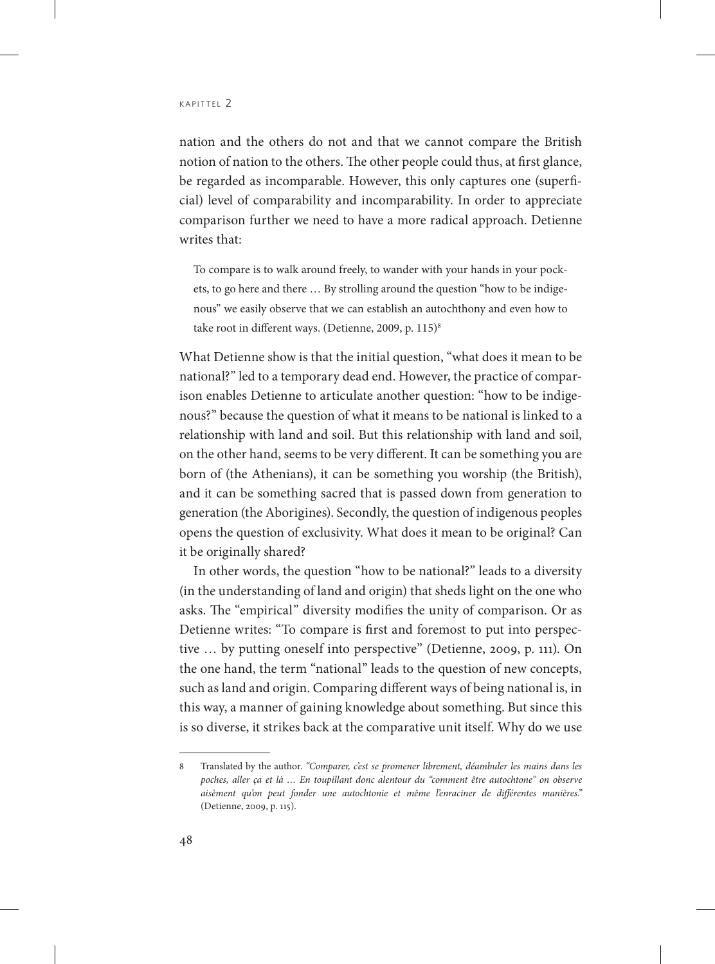nation and the others do not and that we cannot compare the British notion of nation to the others. The other people could thus, at first glance, be regarded as incomparable. However, this only captures one (superficial) level of comparability and incomparability. In order to appreciate comparison further we need to have a more radical approach. Detienne writes that:

To compare is to walk around freely, to wander with your hands in your pockets, to go here and there … By strolling around the question "how to be indigenous" we easily observe that we can establish an autochthony and even how to take root in different ways. (Detienne, 2009, p. 115)<sup>8</sup>

What Detienne show is that the initial question, "what does it mean to be national?" led to a temporary dead end. However, the practice of comparison enables Detienne to articulate another question: "how to be indigenous?" because the question of what it means to be national is linked to a relationship with land and soil. But this relationship with land and soil, on the other hand, seems to be very different. It can be something you are born of (the Athenians), it can be something you worship (the British), and it can be something sacred that is passed down from generation to generation (the Aborigines). Secondly, the question of indigenous peoples opens the question of exclusivity. What does it mean to be original? Can it be originally shared?

In other words, the question "how to be national?" leads to a diversity (in the understanding of land and origin) that sheds light on the one who asks. The "empirical" diversity modifies the unity of comparison. Or as Detienne writes: "To compare is first and foremost to put into perspective … by putting oneself into perspective" (Detienne, 2009, p. 111). On the one hand, the term "national" leads to the question of new concepts, such as land and origin. Comparing different ways of being national is, in this way, a manner of gaining knowledge about something. But since this is so diverse, it strikes back at the comparative unit itself. Why do we use

<sup>8</sup> Translated by the author. *"Comparer, c'est se promener librement, déambuler les mains dans les poches, aller ça et là … En toupillant donc alentour du "comment être autochtone" on observe aisèment qu'on peut fonder une autochtonie et même l'enraciner de différentes manières."* (Detienne, 2009, p. 115).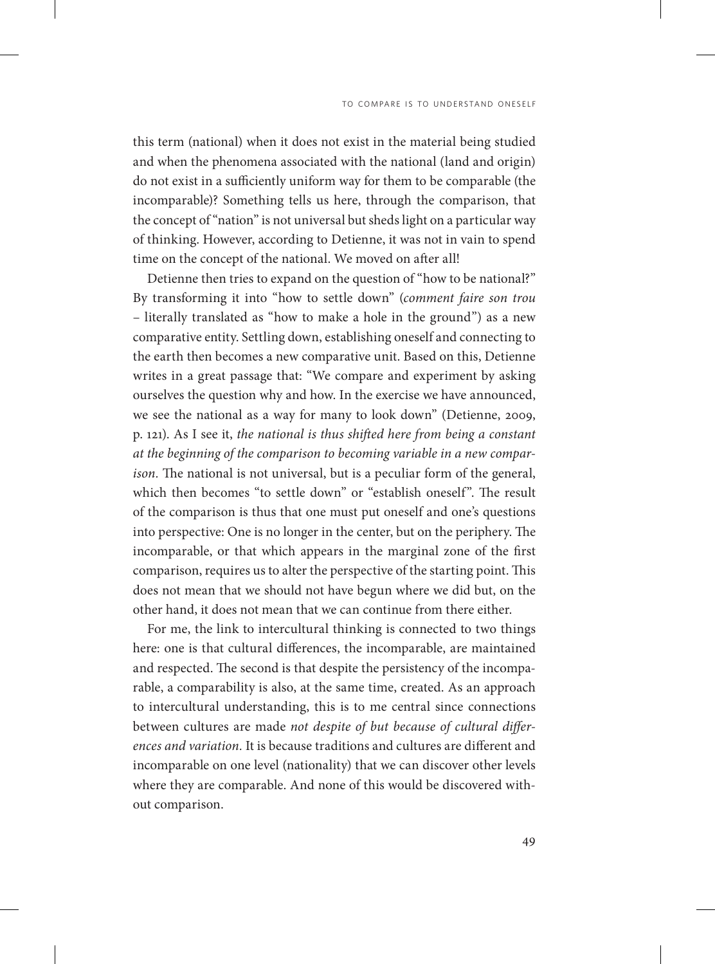this term (national) when it does not exist in the material being studied and when the phenomena associated with the national (land and origin) do not exist in a sufficiently uniform way for them to be comparable (the incomparable)? Something tells us here, through the comparison, that the concept of "nation" is not universal but sheds light on a particular way of thinking. However, according to Detienne, it was not in vain to spend time on the concept of the national. We moved on after all!

Detienne then tries to expand on the question of "how to be national?" By transforming it into "how to settle down" (*comment faire son trou* – literally translated as "how to make a hole in the ground") as a new comparative entity. Settling down, establishing oneself and connecting to the earth then becomes a new comparative unit. Based on this, Detienne writes in a great passage that: "We compare and experiment by asking ourselves the question why and how. In the exercise we have announced, we see the national as a way for many to look down" (Detienne, 2009, p. 121). As I see it, *the national is thus shifted here from being a constant at the beginning of the comparison to becoming variable in a new comparison.* The national is not universal, but is a peculiar form of the general, which then becomes "to settle down" or "establish oneself". The result of the comparison is thus that one must put oneself and one's questions into perspective: One is no longer in the center, but on the periphery. The incomparable, or that which appears in the marginal zone of the first comparison, requires us to alter the perspective of the starting point. This does not mean that we should not have begun where we did but, on the other hand, it does not mean that we can continue from there either.

For me, the link to intercultural thinking is connected to two things here: one is that cultural differences, the incomparable, are maintained and respected. The second is that despite the persistency of the incomparable, a comparability is also, at the same time, created. As an approach to intercultural understanding, this is to me central since connections between cultures are made *not despite of but because of cultural differences and variation.* It is because traditions and cultures are different and incomparable on one level (nationality) that we can discover other levels where they are comparable. And none of this would be discovered without comparison.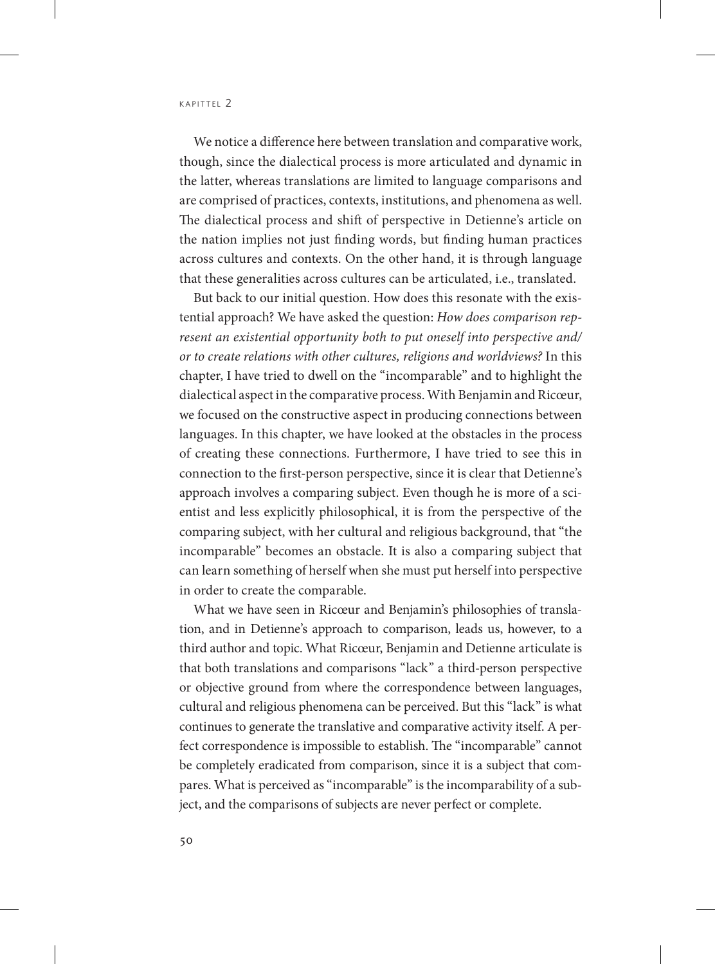We notice a difference here between translation and comparative work, though, since the dialectical process is more articulated and dynamic in the latter, whereas translations are limited to language comparisons and are comprised of practices, contexts, institutions, and phenomena as well. The dialectical process and shift of perspective in Detienne's article on the nation implies not just finding words, but finding human practices across cultures and contexts. On the other hand, it is through language that these generalities across cultures can be articulated, i.e., translated.

But back to our initial question. How does this resonate with the existential approach? We have asked the question: *How does comparison represent an existential opportunity both to put oneself into perspective and/ or to create relations with other cultures, religions and worldviews?* In this chapter, I have tried to dwell on the "incomparable" and to highlight the dialectical aspect in the comparative process. With Benjamin and Ricœur, we focused on the constructive aspect in producing connections between languages. In this chapter, we have looked at the obstacles in the process of creating these connections. Furthermore, I have tried to see this in connection to the first-person perspective, since it is clear that Detienne's approach involves a comparing subject. Even though he is more of a scientist and less explicitly philosophical, it is from the perspective of the comparing subject, with her cultural and religious background, that "the incomparable" becomes an obstacle. It is also a comparing subject that can learn something of herself when she must put herself into perspective in order to create the comparable.

What we have seen in Ricœur and Benjamin's philosophies of translation, and in Detienne's approach to comparison, leads us, however, to a third author and topic. What Ricœur, Benjamin and Detienne articulate is that both translations and comparisons "lack" a third-person perspective or objective ground from where the correspondence between languages, cultural and religious phenomena can be perceived. But this "lack" is what continues to generate the translative and comparative activity itself. A perfect correspondence is impossible to establish. The "incomparable" cannot be completely eradicated from comparison, since it is a subject that compares. What is perceived as "incomparable" is the incomparability of a subject, and the comparisons of subjects are never perfect or complete.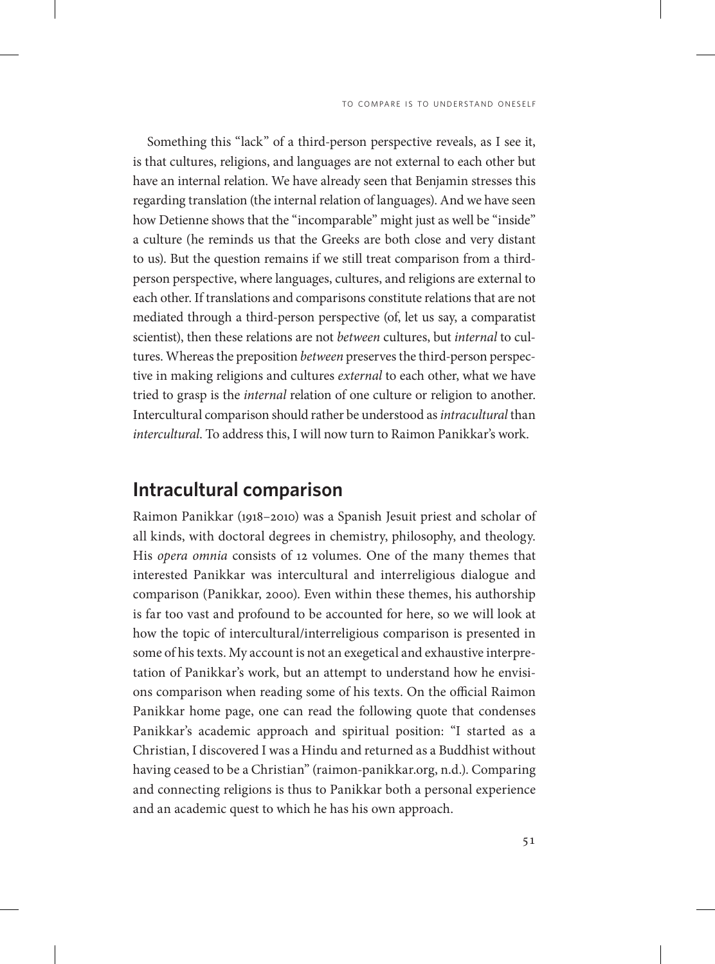Something this "lack" of a third-person perspective reveals, as I see it, is that cultures, religions, and languages are not external to each other but have an internal relation. We have already seen that Benjamin stresses this regarding translation (the internal relation of languages). And we have seen how Detienne shows that the "incomparable" might just as well be "inside" a culture (he reminds us that the Greeks are both close and very distant to us). But the question remains if we still treat comparison from a thirdperson perspective, where languages, cultures, and religions are external to each other. If translations and comparisons constitute relations that are not mediated through a third-person perspective (of, let us say, a comparatist scientist), then these relations are not *between* cultures, but *internal* to cultures. Whereas the preposition *between* preserves the third-person perspective in making religions and cultures *external* to each other, what we have tried to grasp is the *internal* relation of one culture or religion to another. Intercultural comparison should rather be understood as *intracultural* than *intercultural*. To address this, I will now turn to Raimon Panikkar's work.

#### **Intracultural comparison**

Raimon Panikkar (1918–2010) was a Spanish Jesuit priest and scholar of all kinds, with doctoral degrees in chemistry, philosophy, and theology. His *opera omnia* consists of 12 volumes. One of the many themes that interested Panikkar was intercultural and interreligious dialogue and comparison (Panikkar, 2000). Even within these themes, his authorship is far too vast and profound to be accounted for here, so we will look at how the topic of intercultural/interreligious comparison is presented in some of his texts. My account is not an exegetical and exhaustive interpretation of Panikkar's work, but an attempt to understand how he envisions comparison when reading some of his texts. On the official Raimon Panikkar home page, one can read the following quote that condenses Panikkar's academic approach and spiritual position: "I started as a Christian, I discovered I was a Hindu and returned as a Buddhist without having ceased to be a Christian" (raimon-panikkar.org, n.d.). Comparing and connecting religions is thus to Panikkar both a personal experience and an academic quest to which he has his own approach.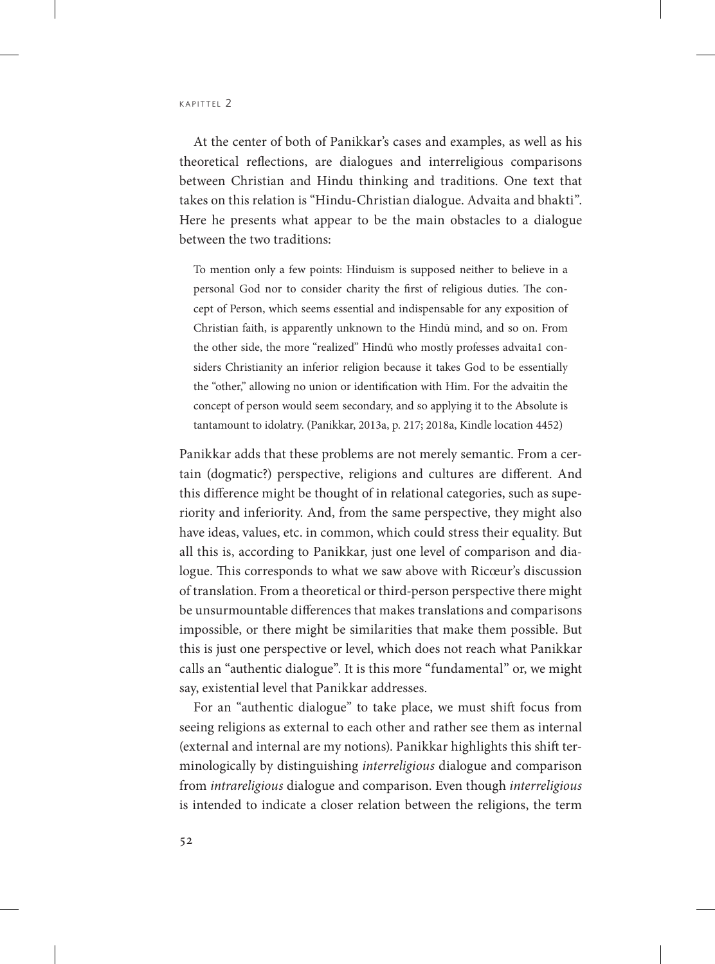At the center of both of Panikkar's cases and examples, as well as his theoretical reflections, are dialogues and interreligious comparisons between Christian and Hindu thinking and traditions. One text that takes on this relation is "Hindu-Christian dialogue. Advaita and bhakti". Here he presents what appear to be the main obstacles to a dialogue between the two traditions:

To mention only a few points: Hinduism is supposed neither to believe in a personal God nor to consider charity the first of religious duties. The concept of Person, which seems essential and indispensable for any exposition of Christian faith, is apparently unknown to the Hindū mind, and so on. From the other side, the more "realized" Hindū who mostly professes advaita1 considers Christianity an inferior religion because it takes God to be essentially the "other," allowing no union or identification with Him. For the advaitin the concept of person would seem secondary, and so applying it to the Absolute is tantamount to idolatry. (Panikkar, 2013a, p. 217; 2018a, Kindle location 4452)

Panikkar adds that these problems are not merely semantic. From a certain (dogmatic?) perspective, religions and cultures are different. And this difference might be thought of in relational categories, such as superiority and inferiority. And, from the same perspective, they might also have ideas, values, etc. in common, which could stress their equality. But all this is, according to Panikkar, just one level of comparison and dialogue. This corresponds to what we saw above with Ricœur's discussion of translation. From a theoretical or third-person perspective there might be unsurmountable differences that makes translations and comparisons impossible, or there might be similarities that make them possible. But this is just one perspective or level, which does not reach what Panikkar calls an "authentic dialogue". It is this more "fundamental" or, we might say, existential level that Panikkar addresses.

For an "authentic dialogue" to take place, we must shift focus from seeing religions as external to each other and rather see them as internal (external and internal are my notions). Panikkar highlights this shift terminologically by distinguishing *interreligious* dialogue and comparison from *intrareligious* dialogue and comparison. Even though *interreligious* is intended to indicate a closer relation between the religions, the term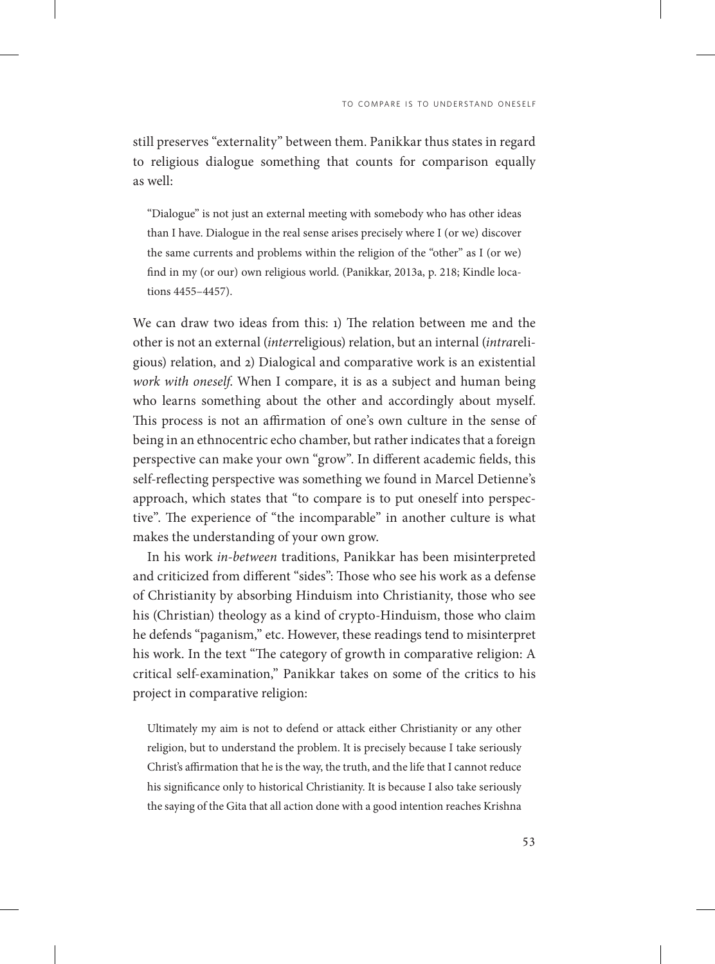still preserves "externality" between them. Panikkar thus states in regard to religious dialogue something that counts for comparison equally as well:

"Dialogue" is not just an external meeting with somebody who has other ideas than I have. Dialogue in the real sense arises precisely where I (or we) discover the same currents and problems within the religion of the "other" as I (or we) find in my (or our) own religious world. (Panikkar, 2013a, p. 218; Kindle locations 4455–4457).

We can draw two ideas from this: 1) The relation between me and the other is not an external (*inter*religious) relation, but an internal (*intra*religious) relation, and 2) Dialogical and comparative work is an existential *work with oneself*. When I compare, it is as a subject and human being who learns something about the other and accordingly about myself. This process is not an affirmation of one's own culture in the sense of being in an ethnocentric echo chamber, but rather indicates that a foreign perspective can make your own "grow". In different academic fields, this self-reflecting perspective was something we found in Marcel Detienne's approach, which states that "to compare is to put oneself into perspective". The experience of "the incomparable" in another culture is what makes the understanding of your own grow.

In his work *in-between* traditions, Panikkar has been misinterpreted and criticized from different "sides": Those who see his work as a defense of Christianity by absorbing Hinduism into Christianity, those who see his (Christian) theology as a kind of crypto-Hinduism, those who claim he defends "paganism," etc. However, these readings tend to misinterpret his work. In the text "The category of growth in comparative religion: A critical self-examination," Panikkar takes on some of the critics to his project in comparative religion:

Ultimately my aim is not to defend or attack either Christianity or any other religion, but to understand the problem. It is precisely because I take seriously Christ's affirmation that he is the way, the truth, and the life that I cannot reduce his significance only to historical Christianity. It is because I also take seriously the saying of the Gita that all action done with a good intention reaches Krishna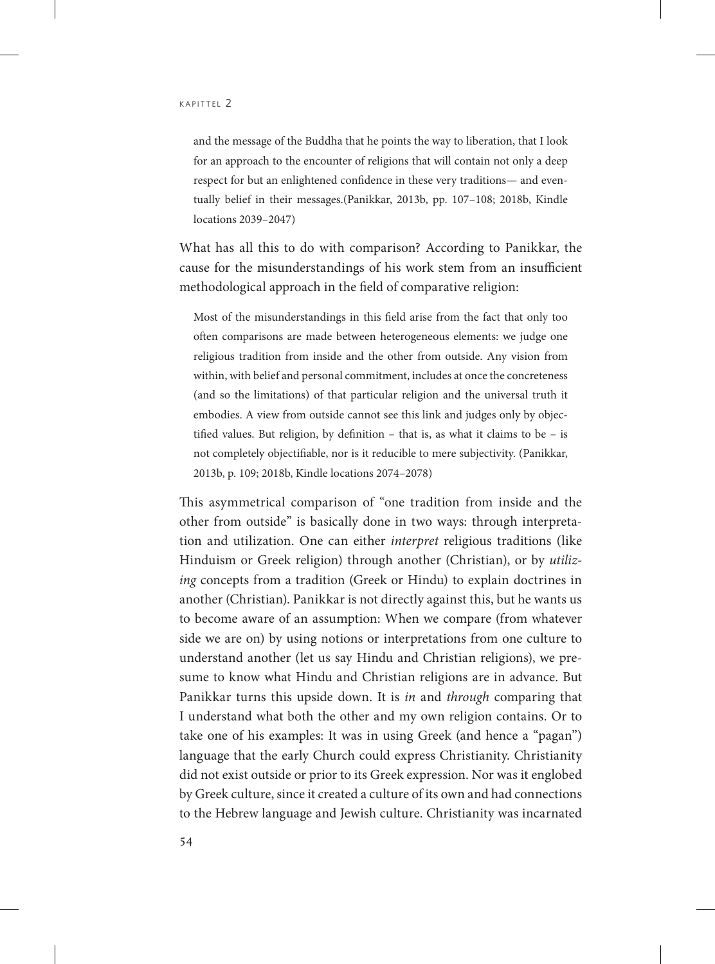and the message of the Buddha that he points the way to liberation, that I look for an approach to the encounter of religions that will contain not only a deep respect for but an enlightened confidence in these very traditions— and eventually belief in their messages.(Panikkar, 2013b, pp. 107–108; 2018b, Kindle locations 2039–2047)

What has all this to do with comparison? According to Panikkar, the cause for the misunderstandings of his work stem from an insufficient methodological approach in the field of comparative religion:

Most of the misunderstandings in this field arise from the fact that only too often comparisons are made between heterogeneous elements: we judge one religious tradition from inside and the other from outside. Any vision from within, with belief and personal commitment, includes at once the concreteness (and so the limitations) of that particular religion and the universal truth it embodies. A view from outside cannot see this link and judges only by objectified values. But religion, by definition – that is, as what it claims to be – is not completely objectifiable, nor is it reducible to mere subjectivity. (Panikkar, 2013b, p. 109; 2018b, Kindle locations 2074–2078)

This asymmetrical comparison of "one tradition from inside and the other from outside" is basically done in two ways: through interpretation and utilization. One can either *interpret* religious traditions (like Hinduism or Greek religion) through another (Christian), or by *utilizing* concepts from a tradition (Greek or Hindu) to explain doctrines in another (Christian). Panikkar is not directly against this, but he wants us to become aware of an assumption: When we compare (from whatever side we are on) by using notions or interpretations from one culture to understand another (let us say Hindu and Christian religions), we presume to know what Hindu and Christian religions are in advance. But Panikkar turns this upside down. It is *in* and *through* comparing that I understand what both the other and my own religion contains. Or to take one of his examples: It was in using Greek (and hence a "pagan") language that the early Church could express Christianity. Christianity did not exist outside or prior to its Greek expression. Nor was it englobed by Greek culture, since it created a culture of its own and had connections to the Hebrew language and Jewish culture. Christianity was incarnated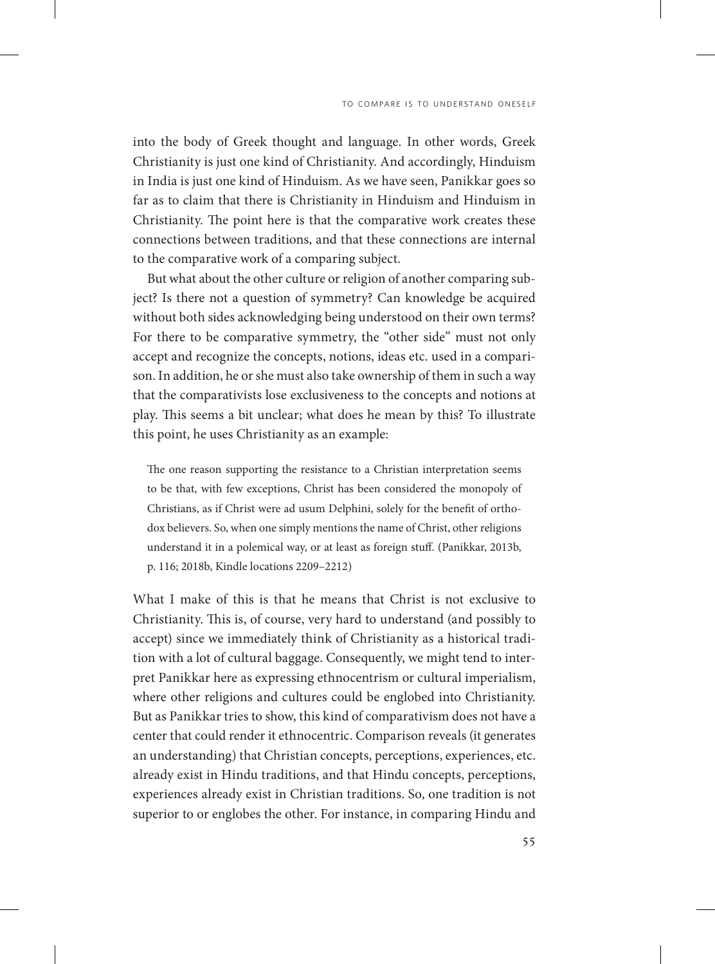into the body of Greek thought and language. In other words, Greek Christianity is just one kind of Christianity. And accordingly, Hinduism in India is just one kind of Hinduism. As we have seen, Panikkar goes so far as to claim that there is Christianity in Hinduism and Hinduism in Christianity. The point here is that the comparative work creates these connections between traditions, and that these connections are internal to the comparative work of a comparing subject.

But what about the other culture or religion of another comparing subject? Is there not a question of symmetry? Can knowledge be acquired without both sides acknowledging being understood on their own terms? For there to be comparative symmetry, the "other side" must not only accept and recognize the concepts, notions, ideas etc. used in a comparison. In addition, he or she must also take ownership of them in such a way that the comparativists lose exclusiveness to the concepts and notions at play. This seems a bit unclear; what does he mean by this? To illustrate this point, he uses Christianity as an example:

The one reason supporting the resistance to a Christian interpretation seems to be that, with few exceptions, Christ has been considered the monopoly of Christians, as if Christ were ad usum Delphini, solely for the benefit of orthodox believers. So, when one simply mentions the name of Christ, other religions understand it in a polemical way, or at least as foreign stuff. (Panikkar, 2013b, p. 116; 2018b, Kindle locations 2209–2212)

What I make of this is that he means that Christ is not exclusive to Christianity. This is, of course, very hard to understand (and possibly to accept) since we immediately think of Christianity as a historical tradition with a lot of cultural baggage. Consequently, we might tend to interpret Panikkar here as expressing ethnocentrism or cultural imperialism, where other religions and cultures could be englobed into Christianity. But as Panikkar tries to show, this kind of comparativism does not have a center that could render it ethnocentric. Comparison reveals (it generates an understanding) that Christian concepts, perceptions, experiences, etc. already exist in Hindu traditions, and that Hindu concepts, perceptions, experiences already exist in Christian traditions. So, one tradition is not superior to or englobes the other. For instance, in comparing Hindu and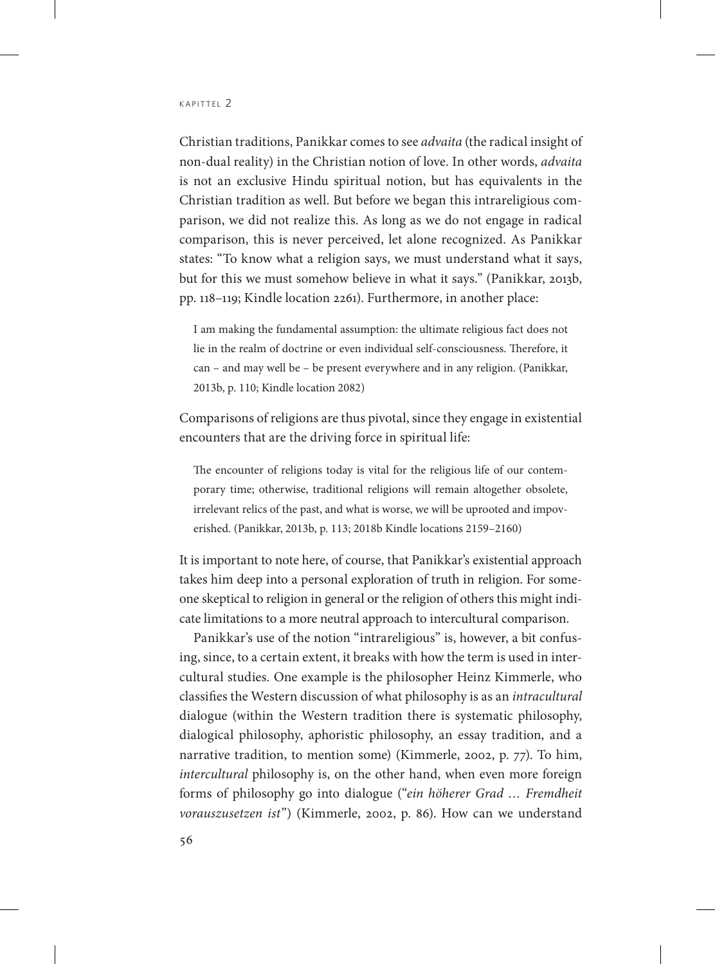Christian traditions, Panikkar comes to see *advaita* (the radical insight of non-dual reality) in the Christian notion of love. In other words, *advaita* is not an exclusive Hindu spiritual notion, but has equivalents in the Christian tradition as well. But before we began this intrareligious comparison, we did not realize this. As long as we do not engage in radical comparison, this is never perceived, let alone recognized. As Panikkar states: "To know what a religion says, we must understand what it says, but for this we must somehow believe in what it says." (Panikkar, 2013b, pp. 118–119; Kindle location 2261). Furthermore, in another place:

I am making the fundamental assumption: the ultimate religious fact does not lie in the realm of doctrine or even individual self-consciousness. Therefore, it can – and may well be – be present everywhere and in any religion. (Panikkar, 2013b, p. 110; Kindle location 2082)

Comparisons of religions are thus pivotal, since they engage in existential encounters that are the driving force in spiritual life:

The encounter of religions today is vital for the religious life of our contemporary time; otherwise, traditional religions will remain altogether obsolete, irrelevant relics of the past, and what is worse, we will be uprooted and impoverished. (Panikkar, 2013b, p. 113; 2018b Kindle locations 2159–2160)

It is important to note here, of course, that Panikkar's existential approach takes him deep into a personal exploration of truth in religion. For someone skeptical to religion in general or the religion of others this might indicate limitations to a more neutral approach to intercultural comparison.

Panikkar's use of the notion "intrareligious" is, however, a bit confusing, since, to a certain extent, it breaks with how the term is used in intercultural studies. One example is the philosopher Heinz Kimmerle, who classifies the Western discussion of what philosophy is as an *intracultural* dialogue (within the Western tradition there is systematic philosophy, dialogical philosophy, aphoristic philosophy, an essay tradition, and a narrative tradition, to mention some) (Kimmerle, 2002, p. 77). To him, *intercultural* philosophy is, on the other hand, when even more foreign forms of philosophy go into dialogue ("*ein höherer Grad … Fremdheit vorauszusetzen ist*") (Kimmerle, 2002, p. 86). How can we understand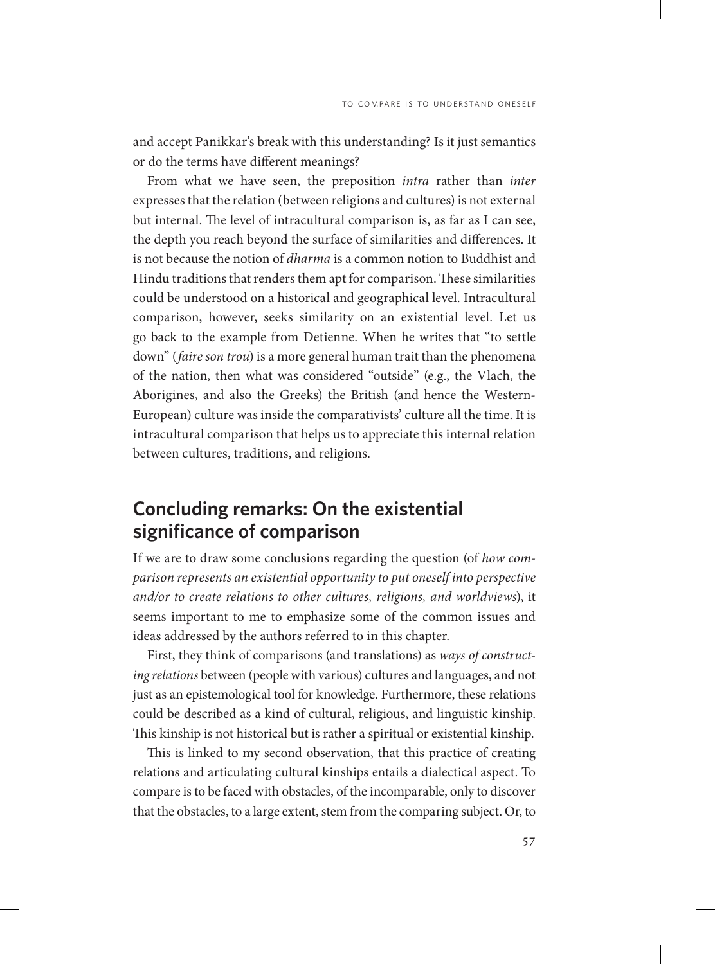and accept Panikkar's break with this understanding? Is it just semantics or do the terms have different meanings?

From what we have seen, the preposition *intra* rather than *inter* expresses that the relation (between religions and cultures) is not external but internal. The level of intracultural comparison is, as far as I can see, the depth you reach beyond the surface of similarities and differences. It is not because the notion of *dharma* is a common notion to Buddhist and Hindu traditions that renders them apt for comparison. These similarities could be understood on a historical and geographical level. Intracultural comparison, however, seeks similarity on an existential level. Let us go back to the example from Detienne. When he writes that "to settle down" (*faire son trou*) is a more general human trait than the phenomena of the nation, then what was considered "outside" (e.g., the Vlach, the Aborigines, and also the Greeks) the British (and hence the Western-European) culture was inside the comparativists' culture all the time. It is intracultural comparison that helps us to appreciate this internal relation between cultures, traditions, and religions.

# **Concluding remarks: On the existential significance of comparison**

If we are to draw some conclusions regarding the question (of *how comparison represents an existential opportunity to put oneself into perspective and/or to create relations to other cultures, religions, and worldviews*), it seems important to me to emphasize some of the common issues and ideas addressed by the authors referred to in this chapter.

First, they think of comparisons (and translations) as *ways of constructing relations* between (people with various) cultures and languages, and not just as an epistemological tool for knowledge. Furthermore, these relations could be described as a kind of cultural, religious, and linguistic kinship. This kinship is not historical but is rather a spiritual or existential kinship.

This is linked to my second observation, that this practice of creating relations and articulating cultural kinships entails a dialectical aspect. To compare is to be faced with obstacles, of the incomparable, only to discover that the obstacles, to a large extent, stem from the comparing subject. Or, to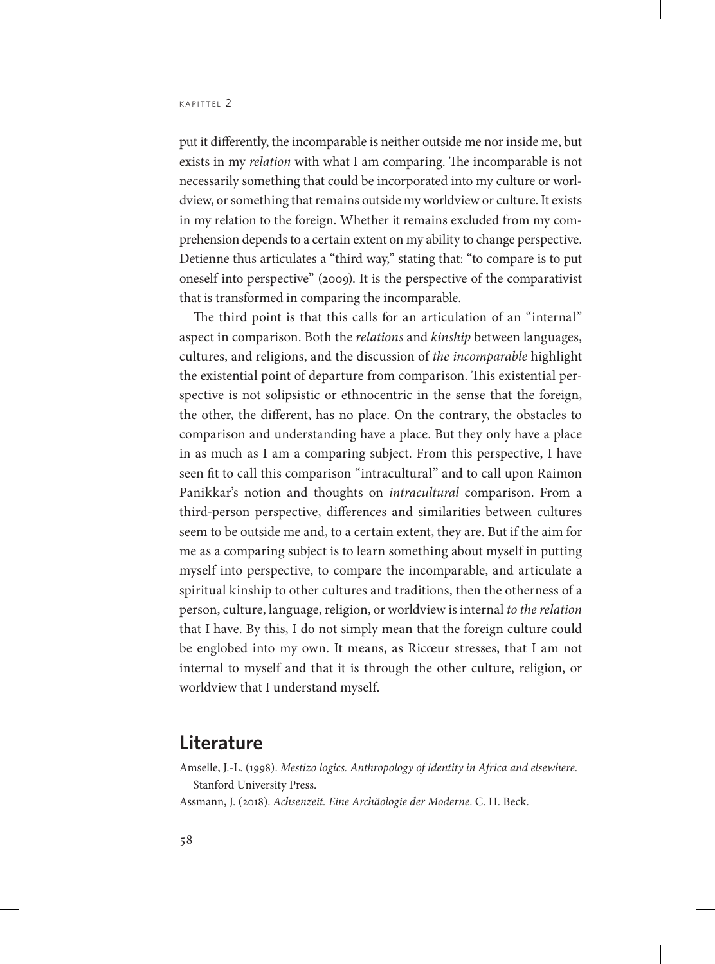put it differently, the incomparable is neither outside me nor inside me, but exists in my *relation* with what I am comparing. The incomparable is not necessarily something that could be incorporated into my culture or worldview, or something that remains outside my worldview or culture. It exists in my relation to the foreign. Whether it remains excluded from my comprehension depends to a certain extent on my ability to change perspective. Detienne thus articulates a "third way," stating that: "to compare is to put oneself into perspective" (2009). It is the perspective of the comparativist that is transformed in comparing the incomparable.

The third point is that this calls for an articulation of an "internal" aspect in comparison. Both the *relations* and *kinship* between languages, cultures, and religions, and the discussion of *the incomparable* highlight the existential point of departure from comparison. This existential perspective is not solipsistic or ethnocentric in the sense that the foreign, the other, the different, has no place. On the contrary, the obstacles to comparison and understanding have a place. But they only have a place in as much as I am a comparing subject. From this perspective, I have seen fit to call this comparison "intracultural" and to call upon Raimon Panikkar's notion and thoughts on *intracultural* comparison. From a third-person perspective, differences and similarities between cultures seem to be outside me and, to a certain extent, they are. But if the aim for me as a comparing subject is to learn something about myself in putting myself into perspective, to compare the incomparable, and articulate a spiritual kinship to other cultures and traditions, then the otherness of a person, culture, language, religion, or worldview is internal *to the relation* that I have. By this, I do not simply mean that the foreign culture could be englobed into my own. It means, as Ricœur stresses, that I am not internal to myself and that it is through the other culture, religion, or worldview that I understand myself.

#### **Literature**

Amselle, J.-L. (1998). *Mestizo logics. Anthropology of identity in Africa and elsewhere*. Stanford University Press.

Assmann, J. (2018). *Achsenzeit. Eine Archäologie der Moderne*. C. H. Beck.